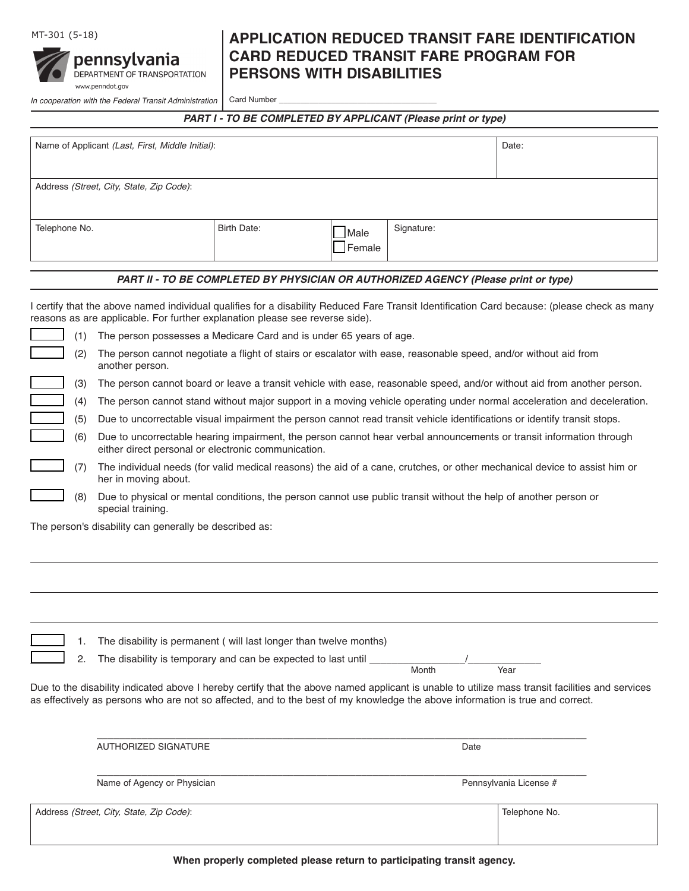

## MT-301 (5-18) **APPLICATION REDUCED TRANSIT FARE IDENTIFICATION CARD REDUCED TRANSIT FARE PROGRAM FOR PERSONS WITH DISABILITIES**

*In cooperation with the Federal Transit Administration* | Card Number

*PART I - TO BE COMPLETED BY APPLICANT (Please print or type)*

| Name of Applicant (Last, First, Middle Initial): |             |                |            | Date: |
|--------------------------------------------------|-------------|----------------|------------|-------|
| Address (Street, City, State, Zip Code):         |             |                |            |       |
| Telephone No.                                    | Birth Date: | Male<br>Female | Signature: |       |

## *PART II - TO BE COMPLETED BY PHYSICIAN OR AUTHORIZED AGENCY (Please print or type)*

I certify that the above named individual qualifies for a disability Reduced Fare Transit Identification Card because: (please check as many reasons as are applicable. For further explanation please see reverse side).

|  |  | $\perp$ (1) The person possesses a Medicare Card and is under 65 years of age. |
|--|--|--------------------------------------------------------------------------------|
|--|--|--------------------------------------------------------------------------------|

- \_\_\_\_\_\_ (2) The person cannot negotiate a flight of stairs or escalator with ease, reasonable speed, and/or without aid from another person.
- \_\_\_\_\_\_ (3) The person cannot board or leave a transit vehicle with ease, reasonable speed, and/or without aid from another person.
- \_\_\_\_\_\_ (4) The person cannot stand without major support in a moving vehicle operating under normal acceleration and deceleration.
- \_\_\_\_\_\_ (5) Due to uncorrectable visual impairment the person cannot read transit vehicle identifications or identify transit stops.
- \_\_\_\_\_\_ (6) Due to uncorrectable hearing impairment, the person cannot hear verbal announcements or transit information through either direct personal or electronic communication.
- \_\_\_\_\_\_ (7) The individual needs (for valid medical reasons) the aid of a cane, crutches, or other mechanical device to assist him or her in moving about.
- \_\_\_\_\_\_ (8) Due to physical or mental conditions, the person cannot use public transit without the help of another person or special training.

The person's disability can generally be described as:

| The disability is permanent (will last longer than twelve months)<br>1.                                                                         |       |                        |  |
|-------------------------------------------------------------------------------------------------------------------------------------------------|-------|------------------------|--|
| The disability is temporary and can be expected to last until __<br>2.                                                                          | Month | Year                   |  |
| Due to the disability indicated above I hereby certify that the above named applicant is unable to utilize mass transit facilities and services |       |                        |  |
|                                                                                                                                                 |       |                        |  |
| as effectively as persons who are not so affected, and to the best of my knowledge the above information is true and correct.                   |       |                        |  |
| AUTHORIZED SIGNATURE                                                                                                                            |       | Date                   |  |
| Name of Agency or Physician                                                                                                                     |       | Pennsylvania License # |  |
| Address (Street, City, State, Zip Code):                                                                                                        |       | Telephone No.          |  |